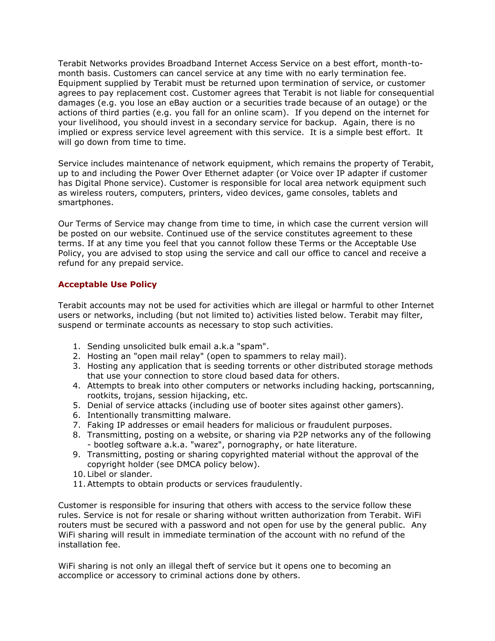Terabit Networks provides Broadband Internet Access Service on a best effort, month-tomonth basis. Customers can cancel service at any time with no early termination fee. Equipment supplied by Terabit must be returned upon termination of service, or customer agrees to pay replacement cost. Customer agrees that Terabit is not liable for consequential damages (e.g. you lose an eBay auction or a securities trade because of an outage) or the actions of third parties (e.g. you fall for an online scam). If you depend on the internet for your livelihood, you should invest in a secondary service for backup. Again, there is no implied or express service level agreement with this service. It is a simple best effort. It will go down from time to time.

Service includes maintenance of network equipment, which remains the property of Terabit, up to and including the Power Over Ethernet adapter (or Voice over IP adapter if customer has Digital Phone service). Customer is responsible for local area network equipment such as wireless routers, computers, printers, video devices, game consoles, tablets and smartphones.

Our Terms of Service may change from time to time, in which case the current version will be posted on our website. Continued use of the service constitutes agreement to these terms. If at any time you feel that you cannot follow these Terms or the Acceptable Use Policy, you are advised to stop using the service and call our office to cancel and receive a refund for any prepaid service.

# **Acceptable Use Policy**

Terabit accounts may not be used for activities which are illegal or harmful to other Internet users or networks, including (but not limited to) activities listed below. Terabit may filter, suspend or terminate accounts as necessary to stop such activities.

- 1. Sending unsolicited bulk email a.k.a "spam".
- 2. Hosting an "open mail relay" (open to spammers to relay mail).
- 3. Hosting any application that is seeding torrents or other distributed storage methods that use your connection to store cloud based data for others.
- 4. Attempts to break into other computers or networks including hacking, portscanning, rootkits, trojans, session hijacking, etc.
- 5. Denial of service attacks (including use of booter sites against other gamers).
- 6. Intentionally transmitting malware.
- 7. Faking IP addresses or email headers for malicious or fraudulent purposes.
- 8. Transmitting, posting on a website, or sharing via P2P networks any of the following - bootleg software a.k.a. "warez", pornography, or hate literature.
- 9. Transmitting, posting or sharing copyrighted material without the approval of the copyright holder (see DMCA policy below).
- 10. Libel or slander.
- 11.Attempts to obtain products or services fraudulently.

Customer is responsible for insuring that others with access to the service follow these rules. Service is not for resale or sharing without written authorization from Terabit. WiFi routers must be secured with a password and not open for use by the general public. Any WiFi sharing will result in immediate termination of the account with no refund of the installation fee.

WiFi sharing is not only an illegal theft of service but it opens one to becoming an accomplice or accessory to criminal actions done by others.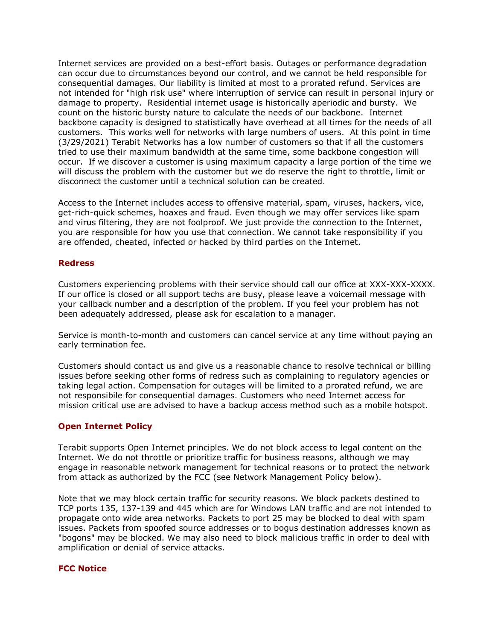Internet services are provided on a best-effort basis. Outages or performance degradation can occur due to circumstances beyond our control, and we cannot be held responsible for consequential damages. Our liability is limited at most to a prorated refund. Services are not intended for "high risk use" where interruption of service can result in personal injury or damage to property. Residential internet usage is historically aperiodic and bursty. We count on the historic bursty nature to calculate the needs of our backbone. Internet backbone capacity is designed to statistically have overhead at all times for the needs of all customers. This works well for networks with large numbers of users. At this point in time (3/29/2021) Terabit Networks has a low number of customers so that if all the customers tried to use their maximum bandwidth at the same time, some backbone congestion will occur. If we discover a customer is using maximum capacity a large portion of the time we will discuss the problem with the customer but we do reserve the right to throttle, limit or disconnect the customer until a technical solution can be created.

Access to the Internet includes access to offensive material, spam, viruses, hackers, vice, get-rich-quick schemes, hoaxes and fraud. Even though we may offer services like spam and virus filtering, they are not foolproof. We just provide the connection to the Internet, you are responsible for how you use that connection. We cannot take responsibility if you are offended, cheated, infected or hacked by third parties on the Internet.

#### **Redress**

Customers experiencing problems with their service should call our office at XXX-XXX-XXXX. If our office is closed or all support techs are busy, please leave a voicemail message with your callback number and a description of the problem. If you feel your problem has not been adequately addressed, please ask for escalation to a manager.

Service is month-to-month and customers can cancel service at any time without paying an early termination fee.

Customers should contact us and give us a reasonable chance to resolve technical or billing issues before seeking other forms of redress such as complaining to regulatory agencies or taking legal action. Compensation for outages will be limited to a prorated refund, we are not responsibile for consequential damages. Customers who need Internet access for mission critical use are advised to have a backup access method such as a mobile hotspot.

## **Open Internet Policy**

Terabit supports Open Internet principles. We do not block access to legal content on the Internet. We do not throttle or prioritize traffic for business reasons, although we may engage in reasonable network management for technical reasons or to protect the network from attack as authorized by the FCC (see Network Management Policy below).

Note that we may block certain traffic for security reasons. We block packets destined to TCP ports 135, 137-139 and 445 which are for Windows LAN traffic and are not intended to propagate onto wide area networks. Packets to port 25 may be blocked to deal with spam issues. Packets from spoofed source addresses or to bogus destination addresses known as "bogons" may be blocked. We may also need to block malicious traffic in order to deal with amplification or denial of service attacks.

#### **FCC Notice**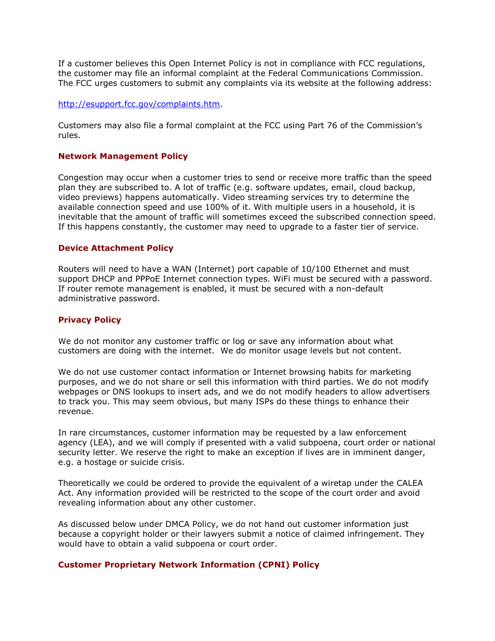If a customer believes this Open Internet Policy is not in compliance with FCC regulations, the customer may file an informal complaint at the Federal Communications Commission. The FCC urges customers to submit any complaints via its website at the following address:

### [http://esupport.fcc.gov/complaints.htm.](http://esupport.fcc.gov/complaints.htm)

Customers may also file a formal complaint at the FCC using Part 76 of the Commission's rules.

#### **Network Management Policy**

Congestion may occur when a customer tries to send or receive more traffic than the speed plan they are subscribed to. A lot of traffic (e.g. software updates, email, cloud backup, video previews) happens automatically. Video streaming services try to determine the available connection speed and use 100% of it. With multiple users in a household, it is inevitable that the amount of traffic will sometimes exceed the subscribed connection speed. If this happens constantly, the customer may need to upgrade to a faster tier of service.

#### **Device Attachment Policy**

Routers will need to have a WAN (Internet) port capable of 10/100 Ethernet and must support DHCP and PPPoE Internet connection types. WiFi must be secured with a password. If router remote management is enabled, it must be secured with a non-default administrative password.

#### **Privacy Policy**

We do not monitor any customer traffic or log or save any information about what customers are doing with the internet. We do monitor usage levels but not content.

We do not use customer contact information or Internet browsing habits for marketing purposes, and we do not share or sell this information with third parties. We do not modify webpages or DNS lookups to insert ads, and we do not modify headers to allow advertisers to track you. This may seem obvious, but many ISPs do these things to enhance their revenue.

In rare circumstances, customer information may be requested by a law enforcement agency (LEA), and we will comply if presented with a valid subpoena, court order or national security letter. We reserve the right to make an exception if lives are in imminent danger, e.g. a hostage or suicide crisis.

Theoretically we could be ordered to provide the equivalent of a wiretap under the CALEA Act. Any information provided will be restricted to the scope of the court order and avoid revealing information about any other customer.

As discussed below under DMCA Policy, we do not hand out customer information just because a copyright holder or their lawyers submit a notice of claimed infringement. They would have to obtain a valid subpoena or court order.

#### **Customer Proprietary Network Information (CPNI) Policy**